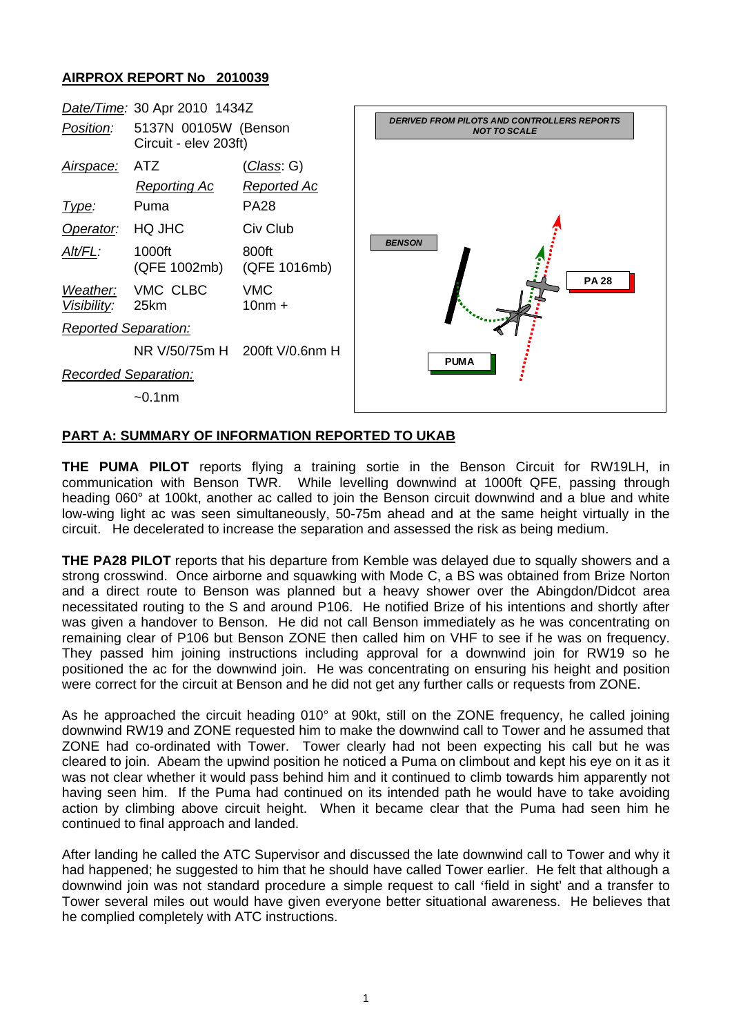## **AIRPROX REPORT No 2010039**



## **PART A: SUMMARY OF INFORMATION REPORTED TO UKAB**

**THE PUMA PILOT** reports flying a training sortie in the Benson Circuit for RW19LH, in communication with Benson TWR. While levelling downwind at 1000ft QFE, passing through heading 060° at 100kt, another ac called to join the Benson circuit downwind and a blue and white low-wing light ac was seen simultaneously, 50-75m ahead and at the same height virtually in the circuit. He decelerated to increase the separation and assessed the risk as being medium.

**THE PA28 PILOT** reports that his departure from Kemble was delayed due to squally showers and a strong crosswind. Once airborne and squawking with Mode C, a BS was obtained from Brize Norton and a direct route to Benson was planned but a heavy shower over the Abingdon/Didcot area necessitated routing to the S and around P106. He notified Brize of his intentions and shortly after was given a handover to Benson. He did not call Benson immediately as he was concentrating on remaining clear of P106 but Benson ZONE then called him on VHF to see if he was on frequency. They passed him joining instructions including approval for a downwind join for RW19 so he positioned the ac for the downwind join. He was concentrating on ensuring his height and position were correct for the circuit at Benson and he did not get any further calls or requests from ZONE.

As he approached the circuit heading 010° at 90kt, still on the ZONE frequency, he called joining downwind RW19 and ZONE requested him to make the downwind call to Tower and he assumed that ZONE had co-ordinated with Tower. Tower clearly had not been expecting his call but he was cleared to join. Abeam the upwind position he noticed a Puma on climbout and kept his eye on it as it was not clear whether it would pass behind him and it continued to climb towards him apparently not having seen him. If the Puma had continued on its intended path he would have to take avoiding action by climbing above circuit height. When it became clear that the Puma had seen him he continued to final approach and landed.

After landing he called the ATC Supervisor and discussed the late downwind call to Tower and why it had happened; he suggested to him that he should have called Tower earlier. He felt that although a downwind join was not standard procedure a simple request to call 'field in sight' and a transfer to Tower several miles out would have given everyone better situational awareness. He believes that he complied completely with ATC instructions.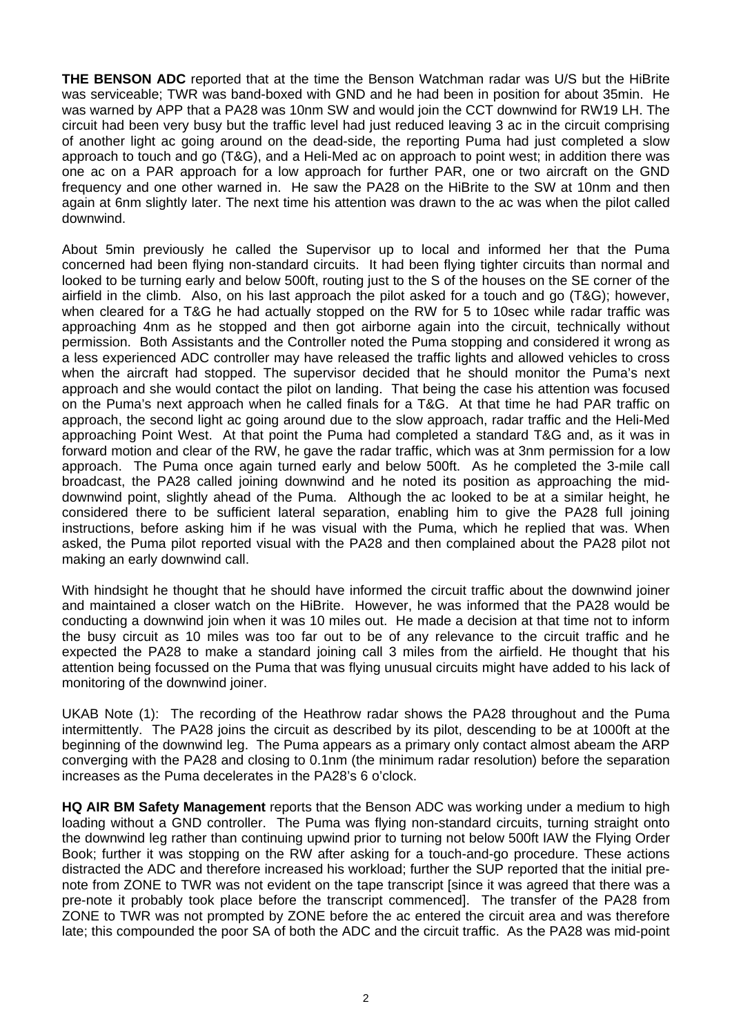**THE BENSON ADC** reported that at the time the Benson Watchman radar was U/S but the HiBrite was serviceable; TWR was band-boxed with GND and he had been in position for about 35min. He was warned by APP that a PA28 was 10nm SW and would join the CCT downwind for RW19 LH. The circuit had been very busy but the traffic level had just reduced leaving 3 ac in the circuit comprising of another light ac going around on the dead-side, the reporting Puma had just completed a slow approach to touch and go (T&G), and a Heli-Med ac on approach to point west; in addition there was one ac on a PAR approach for a low approach for further PAR, one or two aircraft on the GND frequency and one other warned in. He saw the PA28 on the HiBrite to the SW at 10nm and then again at 6nm slightly later. The next time his attention was drawn to the ac was when the pilot called downwind.

About 5min previously he called the Supervisor up to local and informed her that the Puma concerned had been flying non-standard circuits. It had been flying tighter circuits than normal and looked to be turning early and below 500ft, routing just to the S of the houses on the SE corner of the airfield in the climb. Also, on his last approach the pilot asked for a touch and go (T&G); however, when cleared for a T&G he had actually stopped on the RW for 5 to 10sec while radar traffic was approaching 4nm as he stopped and then got airborne again into the circuit, technically without permission. Both Assistants and the Controller noted the Puma stopping and considered it wrong as a less experienced ADC controller may have released the traffic lights and allowed vehicles to cross when the aircraft had stopped. The supervisor decided that he should monitor the Puma's next approach and she would contact the pilot on landing. That being the case his attention was focused on the Puma's next approach when he called finals for a T&G. At that time he had PAR traffic on approach, the second light ac going around due to the slow approach, radar traffic and the Heli-Med approaching Point West. At that point the Puma had completed a standard T&G and, as it was in forward motion and clear of the RW, he gave the radar traffic, which was at 3nm permission for a low approach. The Puma once again turned early and below 500ft. As he completed the 3-mile call broadcast, the PA28 called joining downwind and he noted its position as approaching the middownwind point, slightly ahead of the Puma. Although the ac looked to be at a similar height, he considered there to be sufficient lateral separation, enabling him to give the PA28 full joining instructions, before asking him if he was visual with the Puma, which he replied that was. When asked, the Puma pilot reported visual with the PA28 and then complained about the PA28 pilot not making an early downwind call.

With hindsight he thought that he should have informed the circuit traffic about the downwind joiner and maintained a closer watch on the HiBrite. However, he was informed that the PA28 would be conducting a downwind join when it was 10 miles out. He made a decision at that time not to inform the busy circuit as 10 miles was too far out to be of any relevance to the circuit traffic and he expected the PA28 to make a standard joining call 3 miles from the airfield. He thought that his attention being focussed on the Puma that was flying unusual circuits might have added to his lack of monitoring of the downwind joiner.

UKAB Note (1): The recording of the Heathrow radar shows the PA28 throughout and the Puma intermittently. The PA28 joins the circuit as described by its pilot, descending to be at 1000ft at the beginning of the downwind leg. The Puma appears as a primary only contact almost abeam the ARP converging with the PA28 and closing to 0.1nm (the minimum radar resolution) before the separation increases as the Puma decelerates in the PA28's 6 o'clock.

**HQ AIR BM Safety Management** reports that the Benson ADC was working under a medium to high loading without a GND controller. The Puma was flying non-standard circuits, turning straight onto the downwind leg rather than continuing upwind prior to turning not below 500ft IAW the Flying Order Book; further it was stopping on the RW after asking for a touch-and-go procedure. These actions distracted the ADC and therefore increased his workload; further the SUP reported that the initial prenote from ZONE to TWR was not evident on the tape transcript [since it was agreed that there was a pre-note it probably took place before the transcript commenced]. The transfer of the PA28 from ZONE to TWR was not prompted by ZONE before the ac entered the circuit area and was therefore late; this compounded the poor SA of both the ADC and the circuit traffic. As the PA28 was mid-point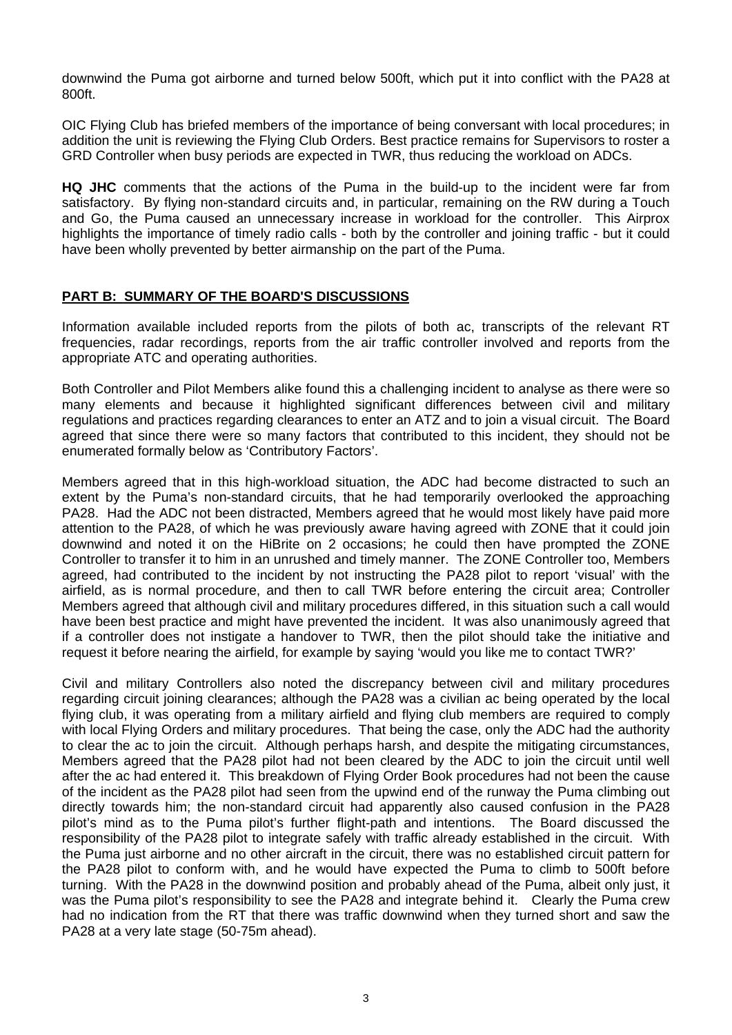downwind the Puma got airborne and turned below 500ft, which put it into conflict with the PA28 at 800ft.

OIC Flying Club has briefed members of the importance of being conversant with local procedures; in addition the unit is reviewing the Flying Club Orders. Best practice remains for Supervisors to roster a GRD Controller when busy periods are expected in TWR, thus reducing the workload on ADCs.

**HQ JHC** comments that the actions of the Puma in the build-up to the incident were far from satisfactory. By flying non-standard circuits and, in particular, remaining on the RW during a Touch and Go, the Puma caused an unnecessary increase in workload for the controller. This Airprox highlights the importance of timely radio calls - both by the controller and joining traffic - but it could have been wholly prevented by better airmanship on the part of the Puma.

## **PART B: SUMMARY OF THE BOARD'S DISCUSSIONS**

Information available included reports from the pilots of both ac, transcripts of the relevant RT frequencies, radar recordings, reports from the air traffic controller involved and reports from the appropriate ATC and operating authorities.

Both Controller and Pilot Members alike found this a challenging incident to analyse as there were so many elements and because it highlighted significant differences between civil and military regulations and practices regarding clearances to enter an ATZ and to join a visual circuit. The Board agreed that since there were so many factors that contributed to this incident, they should not be enumerated formally below as 'Contributory Factors'.

Members agreed that in this high-workload situation, the ADC had become distracted to such an extent by the Puma's non-standard circuits, that he had temporarily overlooked the approaching PA28. Had the ADC not been distracted, Members agreed that he would most likely have paid more attention to the PA28, of which he was previously aware having agreed with ZONE that it could join downwind and noted it on the HiBrite on 2 occasions; he could then have prompted the ZONE Controller to transfer it to him in an unrushed and timely manner. The ZONE Controller too, Members agreed, had contributed to the incident by not instructing the PA28 pilot to report 'visual' with the airfield, as is normal procedure, and then to call TWR before entering the circuit area; Controller Members agreed that although civil and military procedures differed, in this situation such a call would have been best practice and might have prevented the incident. It was also unanimously agreed that if a controller does not instigate a handover to TWR, then the pilot should take the initiative and request it before nearing the airfield, for example by saying 'would you like me to contact TWR?'

Civil and military Controllers also noted the discrepancy between civil and military procedures regarding circuit joining clearances; although the PA28 was a civilian ac being operated by the local flying club, it was operating from a military airfield and flying club members are required to comply with local Flying Orders and military procedures. That being the case, only the ADC had the authority to clear the ac to join the circuit. Although perhaps harsh, and despite the mitigating circumstances, Members agreed that the PA28 pilot had not been cleared by the ADC to join the circuit until well after the ac had entered it. This breakdown of Flying Order Book procedures had not been the cause of the incident as the PA28 pilot had seen from the upwind end of the runway the Puma climbing out directly towards him; the non-standard circuit had apparently also caused confusion in the PA28 pilot's mind as to the Puma pilot's further flight-path and intentions. The Board discussed the responsibility of the PA28 pilot to integrate safely with traffic already established in the circuit. With the Puma just airborne and no other aircraft in the circuit, there was no established circuit pattern for the PA28 pilot to conform with, and he would have expected the Puma to climb to 500ft before turning. With the PA28 in the downwind position and probably ahead of the Puma, albeit only just, it was the Puma pilot's responsibility to see the PA28 and integrate behind it. Clearly the Puma crew had no indication from the RT that there was traffic downwind when they turned short and saw the PA28 at a very late stage (50-75m ahead).